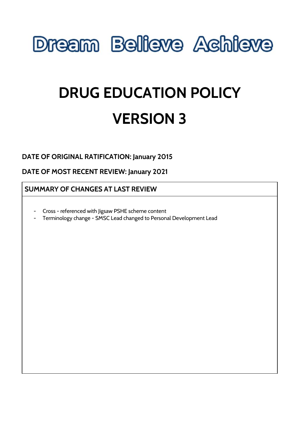

# **DRUG EDUCATION POLICY VERSION 3**

# **DATE OF ORIGINAL RATIFICATION: January 2015**

# **DATE OF MOST RECENT REVIEW: January 2021**

### **SUMMARY OF CHANGES AT LAST REVIEW**

- Cross referenced with Jigsaw PSHE scheme content
- Terminology change SMSC Lead changed to Personal Development Lead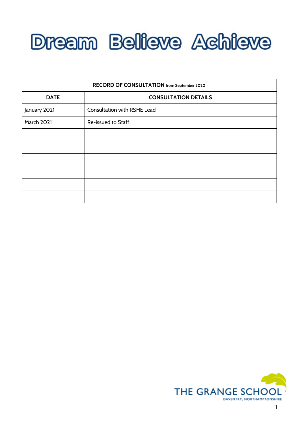

| RECORD OF CONSULTATION from September 2020 |                                    |
|--------------------------------------------|------------------------------------|
| <b>DATE</b>                                | <b>CONSULTATION DETAILS</b>        |
| January 2021                               | <b>Consultation with RSHE Lead</b> |
| March 2021                                 | Re-issued to Staff                 |
|                                            |                                    |
|                                            |                                    |
|                                            |                                    |
|                                            |                                    |
|                                            |                                    |
|                                            |                                    |

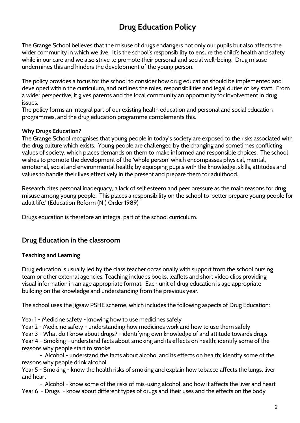# **Drug Education Policy**

The Grange School believes that the misuse of drugs endangers not only our pupils but also affects the wider community in which we live. It is the school's responsibility to ensure the child's health and safety while in our care and we also strive to promote their personal and social well-being. Drug misuse undermines this and hinders the development of the young person.

The policy provides a focus for the school to consider how drug education should be implemented and developed within the curriculum, and outlines the roles, responsibilities and legal duties of key staff. From a wider perspective, it gives parents and the local community an opportunity for involvement in drug issues.

The policy forms an integral part of our existing health education and personal and social education programmes, and the drug education programme complements this.

#### **Why Drugs Education?**

The Grange School recognises that young people in today's society are exposed to the risks associated with the drug culture which exists. Young people are challenged by the changing and sometimes conflicting values of society, which places demands on them to make informed and responsible choices. The school wishes to promote the development of the 'whole person' which encompasses physical, mental, emotional, social and environmental health; by equipping pupils with the knowledge, skills, attitudes and values to handle their lives effectively in the present and prepare them for adulthood.

Research cites personal inadequacy, a lack of self esteem and peer pressure as the main reasons for drug misuse among young people. This places a responsibility on the school to 'better prepare young people for adult life.' (Education Reform (NI) Order 1989)

Drugs education is therefore an integral part of the school curriculum.

# **Drug Education in the classroom**

#### **Teaching and Learning**

Drug education is usually led by the class teacher occasionally with support from the school nursing team or other external agencies. Teaching includes books, leaflets and short video clips providing visual information in an age appropriate format. Each unit of drug education is age appropriate building on the knowledge and understanding from the previous year.

The school uses the Jigsaw PSHE scheme, which includes the following aspects of Drug Education:

Year 1 - Medicine safety - knowing how to use medicines safely

Year 2 - Medicine safety - understanding how medicines work and how to use them safely

Year 3 - What do I know about drugs? - identifying own knowledge of and attitude towards drugs

Year 4 - Smoking - understand facts about smoking and its effects on health; identify some of the reasons why people start to smoke

- Alcohol - understand the facts about alcohol and its effects on health; identify some of the reasons why people drink alcohol

Year 5 - Smoking - know the health risks of smoking and explain how tobacco affects the lungs, liver and heart

- Alcohol - know some of the risks of mis-using alcohol, and how it affects the liver and heart Year 6 - Drugs - know about different types of drugs and their uses and the effects on the body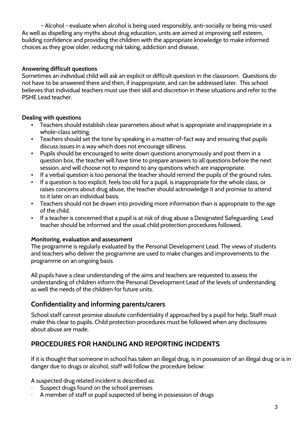- Alcohol - evaluate when alcohol is being used responsibly, anti-socially or being mis-used As well as dispelling any myths about drug education, units are aimed at improving self esteem, building confidence and providing the children with the appropriate knowledge to make informed choices as they grow older, reducing risk taking, addiction and disease,

#### **Answering difficult questions**

Sometimes an individual child will ask an explicit or difficult question in the classroom. Questions do not have to be answered there and then, if inappropriate, and can be addressed later. This school believes that individual teachers must use their skill and discretion in these situations and refer to the PSHE Lead teacher.

#### **Dealing with questions**

- Teachers should establish clear parameters about what is appropriate and inappropriate in a whole-class setting.
- **•** Teachers should set the tone by speaking in a matter-of-fact way and ensuring that pupils discuss issues in a way which does not encourage silliness.
- Pupils should be encouraged to write down questions anonymously and post them in a question box, the teacher will have time to prepare answers to all questions before the next session, and will choose not to respond to any questions which are inappropriate.
- If a verbal question is too personal the teacher should remind the pupils of the ground rules.
- If a question is too explicit, feels too old for a pupil, is inappropriate for the whole class, or raises concerns about drug abuse, the teacher should acknowledge it and promise to attend to it later on an individual basis.
- Teachers should not be drawn into providing more information than is appropriate to the age of the child.
- **•** If a teacher is concerned that a pupil is at risk of drug abuse a Designated Safeguarding Lead teacher should be informed and the usual child protection procedures followed.

#### **Monitoring, evaluation and assessment**

The programme is regularly evaluated by the Personal Development Lead. The views of students and teachers who deliver the programme are used to make changes and improvements to the programme on an ongoing basis.

All pupils have a clear understanding of the aims and teachers are requested to assess the understanding of children inform the Personal Development Lead of the levels of understanding as well the needs of the children for future units.

# **Confidentiality and informing parents/carers**

School staff cannot promise absolute confidentiality if approached by a pupil for help. Staff must make this clear to pupils. Child protection procedures must be followed when any disclosures about abuse are made.

# **PROCEDURES FOR HANDLING AND REPORTING INCIDENTS**

If it is thought that someone in school has taken an illegal drug, is in possession of an illegal drug or is in danger due to drugs or alcohol, staff will follow the procedure below:

A suspected drug related incident is described as:

- Suspect drugs found on the school premises
- A member of staff or pupil suspected of being in possession of drugs